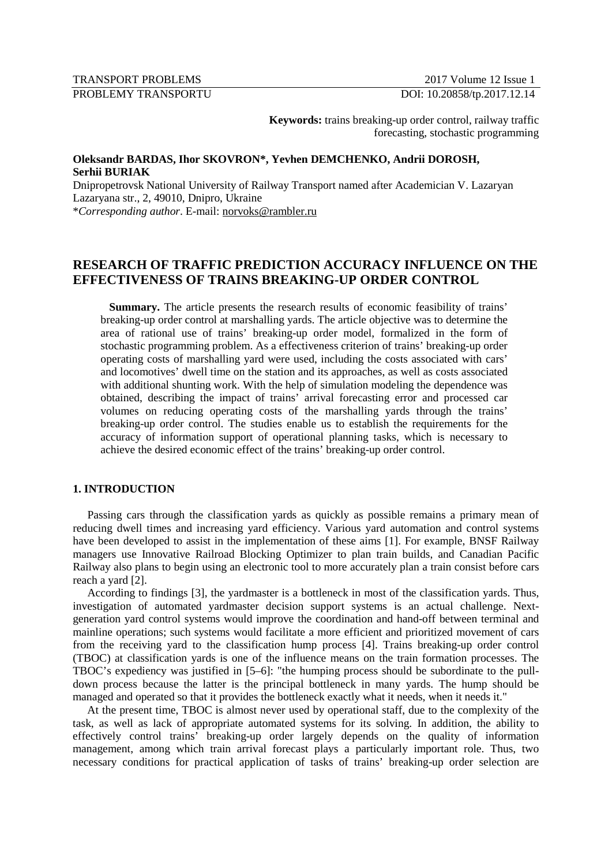## TRANSPORT PROBLEMS 2017 Volume 12 Issue 1

PROBLEMY TRANSPORTU DOI: 10.20858/tp.2017.12.14

**Keywords:** trains breaking-up order control, railway traffic forecasting, stochastic programming

## **Oleksandr BARDAS, Ihor SKOVRON\*, Yevhen DEMCHENKO, Andrii DOROSH, Serhii BURIAK**

Dnipropetrovsk National University of Railway Transport named after Academician V. Lazaryan Lazaryana str., 2, 49010, Dnipro, Ukraine

\**Corresponding author*. E-mail: norvoks@rambler.ru

# **RESEARCH OF TRAFFIC PREDICTION ACCURACY INFLUENCE ON THE EFFECTIVENESS OF TRAINS BREAKING-UP ORDER CONTROL**

**Summary.** The article presents the research results of economic feasibility of trains' breaking-up order control at marshalling yards. The article objective was to determine the area of rational use of trains' breaking-up order model, formalized in the form of stochastic programming problem. As a effectiveness criterion of trains' breaking-up order operating costs of marshalling yard were used, including the costs associated with cars' and locomotives' dwell time on the station and its approaches, as well as costs associated with additional shunting work. With the help of simulation modeling the dependence was obtained, describing the impact of trains' arrival forecasting error and processed car volumes on reducing operating costs of the marshalling yards through the trains' breaking-up order control. The studies enable us to establish the requirements for the accuracy of information support of operational planning tasks, which is necessary to achieve the desired economic effect of the trains' breaking-up order control.

## **1. INTRODUCTION**

Passing cars through the classification yards as quickly as possible remains a primary mean of reducing dwell times and increasing yard efficiency. Various yard automation and control systems have been developed to assist in the implementation of these aims [1]. For example, BNSF Railway managers use Innovative Railroad Blocking Optimizer to plan train builds, and Canadian Pacific Railway also plans to begin using an electronic tool to more accurately plan a train consist before cars reach a yard [2].

According to findings [3], the yardmaster is a bottleneck in most of the classification yards. Thus, investigation of automated yardmaster decision support systems is an actual challenge. Nextgeneration yard control systems would improve the coordination and hand-off between terminal and mainline operations; such systems would facilitate a more efficient and prioritized movement of cars from the receiving yard to the classification hump process [4]. Trains breaking-up order control (TBOC) at classification yards is one of the influence means on the train formation processes. The TBOC's expediency was justified in [5–6]: "the humping process should be subordinate to the pulldown process because the latter is the principal bottleneck in many yards. The hump should be managed and operated so that it provides the bottleneck exactly what it needs, when it needs it."

At the present time, TBOC is almost never used by operational staff, due to the complexity of the task, as well as lack of appropriate automated systems for its solving. In addition, the ability to effectively control trains' breaking-up order largely depends on the quality of information management, among which train arrival forecast plays a particularly important role. Thus, two necessary conditions for practical application of tasks of trains' breaking-up order selection are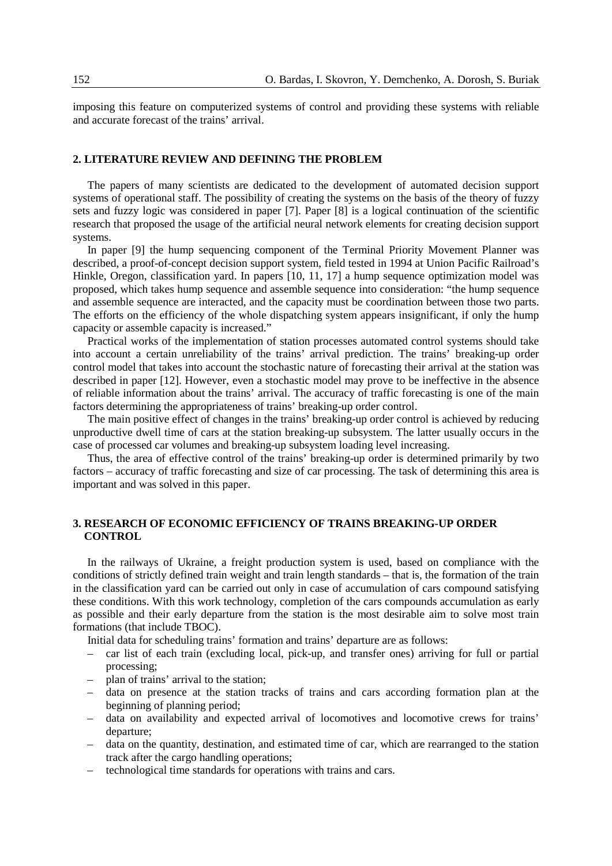imposing this feature on computerized systems of control and providing these systems with reliable and accurate forecast of the trains' arrival.

#### **2. LITERATURE REVIEW AND DEFINING THE PROBLEM**

The papers of many scientists are dedicated to the development of automated decision support systems of operational staff. The possibility of creating the systems on the basis of the theory of fuzzy sets and fuzzy logic was considered in paper [7]. Paper [8] is a logical continuation of the scientific research that proposed the usage of the artificial neural network elements for creating decision support systems.

In paper [9] the hump sequencing component of the Terminal Priority Movement Planner was described, a proof-of-concept decision support system, field tested in 1994 at Union Pacific Railroad's Hinkle, Oregon, classification yard. In papers [10, 11, 17] a hump sequence optimization model was proposed, which takes hump sequence and assemble sequence into consideration: "the hump sequence and assemble sequence are interacted, and the capacity must be coordination between those two parts. The efforts on the efficiency of the whole dispatching system appears insignificant, if only the hump capacity or assemble capacity is increased."

Practical works of the implementation of station processes automated control systems should take into account a certain unreliability of the trains' arrival prediction. The trains' breaking-up order control model that takes into account the stochastic nature of forecasting their arrival at the station was described in paper [12]. However, even a stochastic model may prove to be ineffective in the absence of reliable information about the trains' arrival. The accuracy of traffic forecasting is one of the main factors determining the appropriateness of trains' breaking-up order control.

The main positive effect of changes in the trains' breaking-up order control is achieved by reducing unproductive dwell time of cars at the station breaking-up subsystem. The latter usually occurs in the case of processed car volumes and breaking-up subsystem loading level increasing.

Thus, the area of effective control of the trains' breaking-up order is determined primarily by two factors – accuracy of traffic forecasting and size of car processing. The task of determining this area is important and was solved in this paper.

## **3. RESEARCH OF ECONOMIC EFFICIENCY OF TRAINS BREAKING-UP ORDER CONTROL**

In the railways of Ukraine, a freight production system is used, based on compliance with the conditions of strictly defined train weight and train length standards – that is, the formation of the train in the classification yard can be carried out only in case of accumulation of cars compound satisfying these conditions. With this work technology, completion of the cars compounds accumulation as early as possible and their early departure from the station is the most desirable aim to solve most train formations (that include TBOC).

Initial data for scheduling trains' formation and trains' departure are as follows:

- car list of each train (excluding local, pick-up, and transfer ones) arriving for full or partial processing;
- plan of trains' arrival to the station;
- data on presence at the station tracks of trains and cars according formation plan at the beginning of planning period;
- data on availability and expected arrival of locomotives and locomotive crews for trains' departure;
- data on the quantity, destination, and estimated time of car, which are rearranged to the station track after the cargo handling operations;
- technological time standards for operations with trains and cars.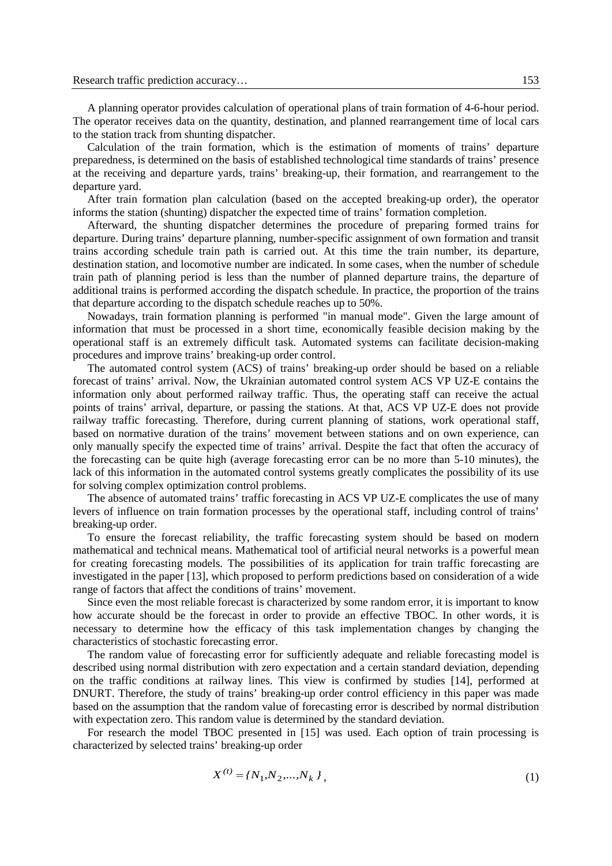A planning operator provides calculation of operational plans of train formation of 4-6-hour period. The operator receives data on the quantity, destination, and planned rearrangement time of local cars to the station track from shunting dispatcher.

Calculation of the train formation, which is the estimation of moments of trains' departure preparedness, is determined on the basis of established technological time standards of trains' presence at the receiving and departure yards, trains' breaking-up, their formation, and rearrangement to the departure yard.

After train formation plan calculation (based on the accepted breaking-up order), the operator informs the station (shunting) dispatcher the expected time of trains' formation completion.

Afterward, the shunting dispatcher determines the procedure of preparing formed trains for departure. During trains' departure planning, number-specific assignment of own formation and transit trains according schedule train path is carried out. At this time the train number, its departure, destination station, and locomotive number are indicated. In some cases, when the number of schedule train path of planning period is less than the number of planned departure trains, the departure of additional trains is performed according the dispatch schedule. In practice, the proportion of the trains that departure according to the dispatch schedule reaches up to 50%.

Nowadays, train formation planning is performed "in manual mode". Given the large amount of information that must be processed in a short time, economically feasible decision making by the operational staff is an extremely difficult task. Automated systems can facilitate decision-making procedures and improve trains' breaking-up order control.

The automated control system (ACS) of trains' breaking-up order should be based on a reliable forecast of trains' arrival. Now, the Ukrainian automated control system ACS VP UZ-E contains the information only about performed railway traffic. Thus, the operating staff can receive the actual points of trains' arrival, departure, or passing the stations. At that, ACS VP UZ-E does not provide railway traffic forecasting. Therefore, during current planning of stations, work operational staff, based on normative duration of the trains' movement between stations and on own experience, can only manually specify the expected time of trains' arrival. Despite the fact that often the accuracy of the forecasting can be quite high (average forecasting error can be no more than 5-10 minutes), the lack of this information in the automated control systems greatly complicates the possibility of its use for solving complex optimization control problems.

The absence of automated trains' traffic forecasting in ACS VP UZ-E complicates the use of many levers of influence on train formation processes by the operational staff, including control of trains' breaking-up order.

To ensure the forecast reliability, the traffic forecasting system should be based on modern mathematical and technical means. Mathematical tool of artificial neural networks is a powerful mean for creating forecasting models. The possibilities of its application for train traffic forecasting are investigated in the paper [13], which proposed to perform predictions based on consideration of a wide range of factors that affect the conditions of trains' movement.

Since even the most reliable forecast is characterized by some random error, it is important to know how accurate should be the forecast in order to provide an effective TBOC. In other words, it is necessary to determine how the efficacy of this task implementation changes by changing the characteristics of stochastic forecasting error.

The random value of forecasting error for sufficiently adequate and reliable forecasting model is described using normal distribution with zero expectation and a certain standard deviation, depending on the traffic conditions at railway lines. This view is confirmed by studies [14], performed at DNURT. Therefore, the study of trains' breaking-up order control efficiency in this paper was made based on the assumption that the random value of forecasting error is described by normal distribution with expectation zero. This random value is determined by the standard deviation.

For research the model TBOC presented in [15] was used. Each option of train processing is characterized by selected trains' breaking-up order

$$
X^{(t)} = \{N_1, N_2, \dots, N_k\},\tag{1}
$$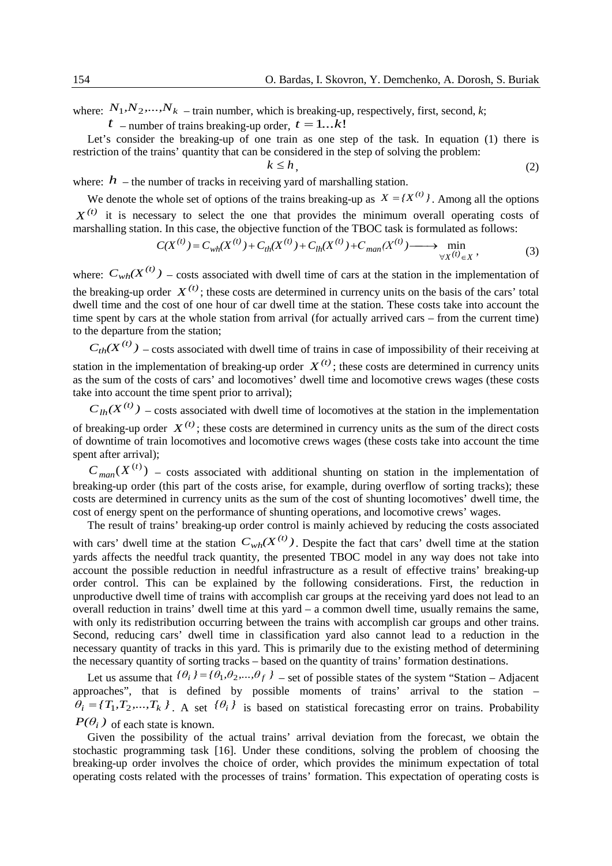where:  $N_1, N_2, \ldots, N_k$  – train number, which is breaking-up, respectively, first, second, *k*;

 $t_{-}$  number of trains breaking-up order,  $t = 1...k!$ 

Let's consider the breaking-up of one train as one step of the task. In equation (1) there is restriction of the trains' quantity that can be considered in the step of solving the problem:

$$
k \le h,\tag{2}
$$

where:  $h$  – the number of tracks in receiving yard of marshalling station.

We denote the whole set of options of the trains breaking-up as  $X = \{X^{(t)}\}\)$ . Among all the options  $X^{(t)}$  it is necessary to select the one that provides the minimum overall operating costs of marshalling station. In this case, the objective function of the TBOC task is formulated as follows:

$$
C(X^{(t)}) = C_{wh}(X^{(t)}) + C_{th}(X^{(t)}) + C_{lh}(X^{(t)}) + C_{man}(X^{(t)}) \longrightarrow \min_{\forall X^{(t)} \in X},
$$
\n(3)

where:  $C_{wh}(X^{(t)})$  – costs associated with dwell time of cars at the station in the implementation of the breaking-up order  $X^{(t)}$ ; these costs are determined in currency units on the basis of the cars' total dwell time and the cost of one hour of car dwell time at the station. These costs take into account the time spent by cars at the whole station from arrival (for actually arrived cars – from the current time) to the departure from the station;

 $C_{th}(X^{(t)})$  – costs associated with dwell time of trains in case of impossibility of their receiving at station in the implementation of breaking-up order  $X^{(t)}$ ; these costs are determined in currency units as the sum of the costs of cars' and locomotives' dwell time and locomotive crews wages (these costs take into account the time spent prior to arrival);

 $C_{lh}(X^{(t)})$  – costs associated with dwell time of locomotives at the station in the implementation of breaking-up order  $X^{(t)}$ ; these costs are determined in currency units as the sum of the direct costs of downtime of train locomotives and locomotive crews wages (these costs take into account the time

spent after arrival);

 $C_{man}(X^{(t)})$  – costs associated with additional shunting on station in the implementation of breaking-up order (this part of the costs arise, for example, during overflow of sorting tracks); these costs are determined in currency units as the sum of the cost of shunting locomotives' dwell time, the cost of energy spent on the performance of shunting operations, and locomotive crews' wages.

The result of trains' breaking-up order control is mainly achieved by reducing the costs associated with cars' dwell time at the station  $C_{wh}(X^{(t)})$ . Despite the fact that cars' dwell time at the station yards affects the needful track quantity, the presented TBOC model in any way does not take into account the possible reduction in needful infrastructure as a result of effective trains' breaking-up order control. This can be explained by the following considerations. First, the reduction in unproductive dwell time of trains with accomplish car groups at the receiving yard does not lead to an overall reduction in trains' dwell time at this yard – a common dwell time, usually remains the same, with only its redistribution occurring between the trains with accomplish car groups and other trains. Second, reducing cars' dwell time in classification yard also cannot lead to a reduction in the necessary quantity of tracks in this yard. This is primarily due to the existing method of determining the necessary quantity of sorting tracks – based on the quantity of trains' formation destinations.

Let us assume that  ${f \theta_i}$   $j = {f \theta_1, \theta_2, ..., \theta_f}$  *i* – set of possible states of the system "Station – Adjacent" approaches", that is defined by possible moments of trains' arrival to the station –  $\theta_i = \{T_1, T_2, ..., T_k\}$ . A set  $\{\theta_i\}$  is based on statistical forecasting error on trains. Probability  $P(\theta_i)$  of each state is known.

Given the possibility of the actual trains' arrival deviation from the forecast, we obtain the stochastic programming task [16]. Under these conditions, solving the problem of choosing the breaking-up order involves the choice of order, which provides the minimum expectation of total operating costs related with the processes of trains' formation. This expectation of operating costs is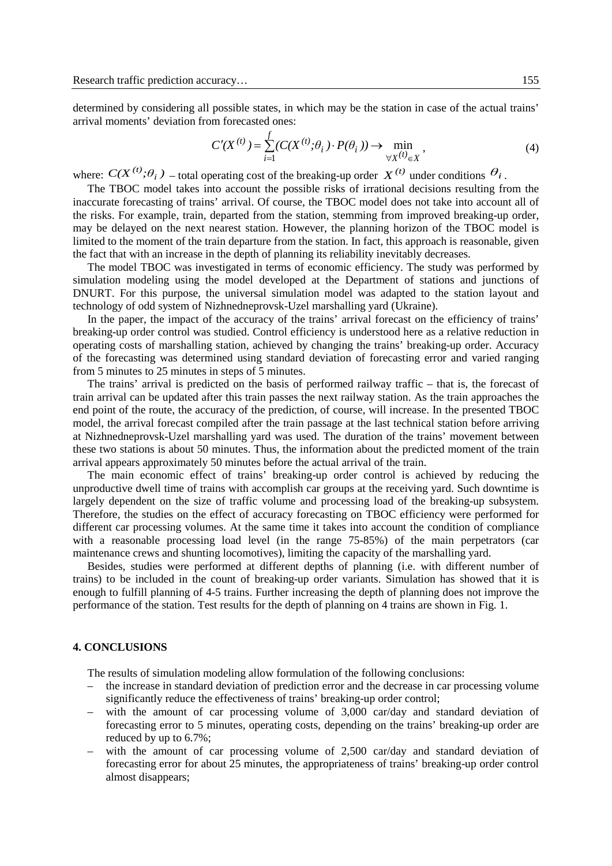determined by considering all possible states, in which may be the station in case of the actual trains' arrival moments' deviation from forecasted ones:

$$
C'(X^{(t)}) = \sum_{i=1}^{f} (C(X^{(t)}; \theta_i) \cdot P(\theta_i)) \to \min_{\forall X^{(t)} \in X},
$$
\n(4)

where:  $C(X^{(t)}; \theta_i)$  – total operating cost of the breaking-up order  $X^{(t)}$  under conditions  $\theta_i$ .

The TBOC model takes into account the possible risks of irrational decisions resulting from the inaccurate forecasting of trains' arrival. Of course, the TBOC model does not take into account all of the risks. For example, train, departed from the station, stemming from improved breaking-up order, may be delayed on the next nearest station. However, the planning horizon of the TBOC model is limited to the moment of the train departure from the station. In fact, this approach is reasonable, given the fact that with an increase in the depth of planning its reliability inevitably decreases.

The model TBOC was investigated in terms of economic efficiency. The study was performed by simulation modeling using the model developed at the Department of stations and junctions of DNURT. For this purpose, the universal simulation model was adapted to the station layout and technology of odd system of Nizhnedneprovsk-Uzel marshalling yard (Ukraine).

In the paper, the impact of the accuracy of the trains' arrival forecast on the efficiency of trains' breaking-up order control was studied. Control efficiency is understood here as a relative reduction in operating costs of marshalling station, achieved by changing the trains' breaking-up order. Accuracy of the forecasting was determined using standard deviation of forecasting error and varied ranging from 5 minutes to 25 minutes in steps of 5 minutes.

The trains' arrival is predicted on the basis of performed railway traffic – that is, the forecast of train arrival can be updated after this train passes the next railway station. As the train approaches the end point of the route, the accuracy of the prediction, of course, will increase. In the presented TBOC model, the arrival forecast compiled after the train passage at the last technical station before arriving at Nizhnedneprovsk-Uzel marshalling yard was used. The duration of the trains' movement between these two stations is about 50 minutes. Thus, the information about the predicted moment of the train arrival appears approximately 50 minutes before the actual arrival of the train.

The main economic effect of trains' breaking-up order control is achieved by reducing the unproductive dwell time of trains with accomplish car groups at the receiving yard. Such downtime is largely dependent on the size of traffic volume and processing load of the breaking-up subsystem. Therefore, the studies on the effect of accuracy forecasting on TBOC efficiency were performed for different car processing volumes. At the same time it takes into account the condition of compliance with a reasonable processing load level (in the range 75-85%) of the main perpetrators (car maintenance crews and shunting locomotives), limiting the capacity of the marshalling yard.

Besides, studies were performed at different depths of planning (i.e. with different number of trains) to be included in the count of breaking-up order variants. Simulation has showed that it is enough to fulfill planning of 4-5 trains. Further increasing the depth of planning does not improve the performance of the station. Test results for the depth of planning on 4 trains are shown in Fig. 1.

## **4. CONCLUSIONS**

The results of simulation modeling allow formulation of the following conclusions:

- the increase in standard deviation of prediction error and the decrease in car processing volume significantly reduce the effectiveness of trains' breaking-up order control;
- with the amount of car processing volume of 3,000 car/day and standard deviation of forecasting error to 5 minutes, operating costs, depending on the trains' breaking-up order are reduced by up to 6.7%;
- with the amount of car processing volume of 2,500 car/day and standard deviation of forecasting error for about 25 minutes, the appropriateness of trains' breaking-up order control almost disappears;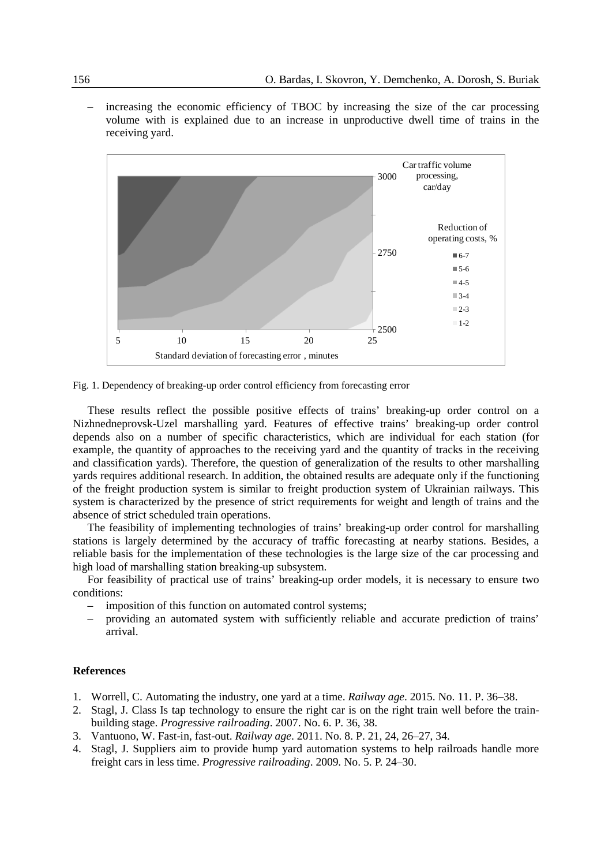– increasing the economic efficiency of TBOC by increasing the size of the car processing volume with is explained due to an increase in unproductive dwell time of trains in the receiving yard.



Fig. 1. Dependency of breaking-up order control efficiency from forecasting error

These results reflect the possible positive effects of trains' breaking-up order control on a Nizhnedneprovsk-Uzel marshalling yard. Features of effective trains' breaking-up order control depends also on a number of specific characteristics, which are individual for each station (for example, the quantity of approaches to the receiving yard and the quantity of tracks in the receiving and classification yards). Therefore, the question of generalization of the results to other marshalling yards requires additional research. In addition, the obtained results are adequate only if the functioning of the freight production system is similar to freight production system of Ukrainian railways. This system is characterized by the presence of strict requirements for weight and length of trains and the absence of strict scheduled train operations.

The feasibility of implementing technologies of trains' breaking-up order control for marshalling stations is largely determined by the accuracy of traffic forecasting at nearby stations. Besides, a reliable basis for the implementation of these technologies is the large size of the car processing and high load of marshalling station breaking-up subsystem.

For feasibility of practical use of trains' breaking-up order models, it is necessary to ensure two conditions:

- imposition of this function on automated control systems:
- providing an automated system with sufficiently reliable and accurate prediction of trains' arrival.

### **References**

- 1. Worrell, C. Automating the industry, one yard at a time. *Railway age*. 2015. No. 11. P. 36–38.
- 2. Stagl, J. Class Is tap technology to ensure the right car is on the right train well before the trainbuilding stage. *Progressive railroading*. 2007. No. 6. P. 36, 38.
- 3. Vantuono, W. Fast-in, fast-out. *Railway age*. 2011. No. 8. P. 21, 24, 26–27, 34.
- 4. Stagl, J. Suppliers aim to provide hump yard automation systems to help railroads handle more freight cars in less time. *Progressive railroading*. 2009. No. 5. P. 24–30.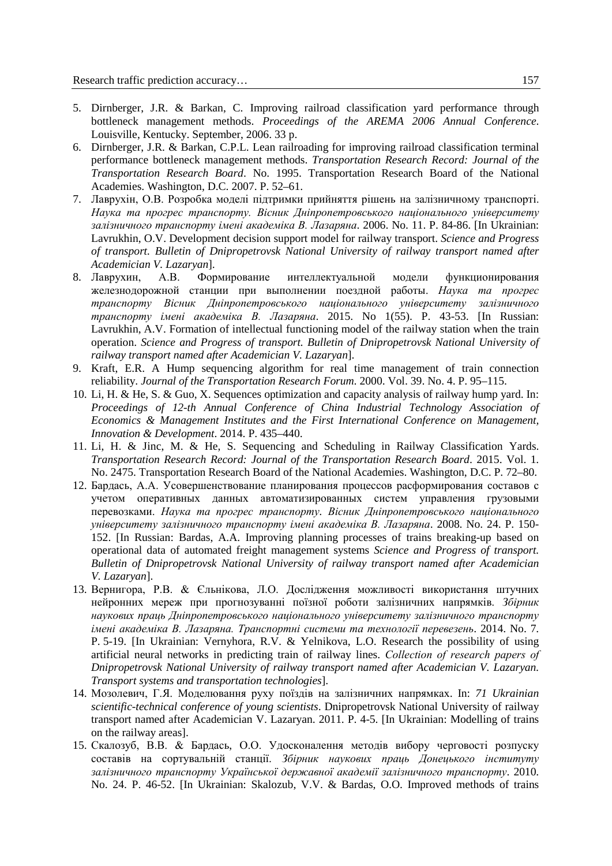- 5. Dirnberger, J.R. & Barkan, C. Improving railroad classification yard performance through bottleneck management methods. *Proceedings of the AREMA 2006 Annual Conference*. Louisville, Kentucky. September, 2006. 33 p.
- 6. Dirnberger, J.R. & Barkan, C.P.L. Lean railroading for improving railroad classification terminal performance bottleneck management methods. *Transportation Research Record: Journal of the Transportation Research Board*. No. 1995. Transportation Research Board of the National Academies. Washington, D.C. 2007. P. 52–61.
- 7. Лаврухін, О.В. Розробка моделі підтримки прийняття рішень на залізничному транспорті. *Наука та прогрес транспорту. Вісник Дніпропетровського національного університету залізничного транспорту імені академіка В. Лазаряна*. 2006. No. 11. P. 84-86. [In Ukrainian: Lavrukhin, O.V. Development decision support model for railway transport. *Science and Progress of transport. Bulletin of Dnipropetrovsk National University of railway transport named after Academician V. Lazaryan*].<br>8. Лаврухин АВ Формирование
- **8. В Формирование интеллектуальной молели функционирования** железнодорожной станции при выполнении поездной работы. *Наука та прогрес транспорту Вісник Дніпропетровського національного університету залізничного транспорту імені академіка В. Лазаряна*. 2015. No 1(55). P. 43-53. [In Russian: Lavrukhin, A.V. Formation of intellectual functioning model of the railway station when the train operation. *Science and Progress of transport. Bulletin of Dnipropetrovsk National University of railway transport named after Academician V. Lazaryan*].
- 9. Kraft, E.R. A Hump sequencing algorithm for real time management of train connection reliability. *Journal of the Transportation Research Forum*. 2000. Vol. 39. No. 4. P. 95–115.
- 10. Li, H. & He, S. & Guo, X. Sequences optimization and capacity analysis of railway hump yard. In: Proceedings of 12-th Annual Conference of China Industrial Technology Association of *Economics & Management Institutes and the First International Conference on Management, Innovation & Development*. 2014. P. 435–440.
- 11. Li, H. & Jinc, M. & He, S. Sequencing and Scheduling in Railway Classification Yards. *Transportation Research Record: Journal of the Transportation Research Board*. 2015. Vol. 1. No. 2475. Transportation Research Board of the National Academies. Washington, D.C. P. 72–80.
- 12. Бардась, А.А. Усовершенствование планирования процессов расформирования составов с учетом оперативных данных автоматизированных систем управления грузовыми перевозками. *Наука та прогрес транспорту. Вісник Дніпропетровського національного університету залізничного транспорту імені академіка В. Лазаряна*. 2008. No. 24. P. 150- 152. [In Russian: Bardas, A.A. Improving planning processes of trains breaking-up based on operational data of automated freight management systems *Science and Progress of transport. Bulletin of Dnipropetrovsk National University of railway transport named after Academician V. Lazaryan*].
- 13. Вернигора, Р.В. & Єльнікова, Л.О. Дослідження можливості використання штучних нейронних мереж при прогнозуванні поїзної роботи залізничних напрямків. *Збірник наукових праць Дніпропетровського національного університету залізничного транспорту імені академіка В. Лазаряна. Транспортні системи та технології перевезень*. 2014. No. 7. P. 5-19. [In Ukrainian: Vernyhora, R.V. & Yelnikova, L.O. Research the possibility of using artificial neural networks in predicting train of railway lines. *Сollection of research papers of Dnipropetrovsk National University of railway transport named after Academician V. Lazaryan. Transport systems and transportation technologies*].
- 14. Мозолевич, Г.Я. Моделювання руху поїздів на залізничних напрямках. In: *71 Ukrainian scientific-technical conference of young scientists*. Dnipropetrovsk National University of railway transport named after Academician V. Lazaryan. 2011. P. 4-5. [In Ukrainian: Modelling of trains on the railway areas].
- 15. Скалозуб, В.В. & Бардась, О.О. Удосконалення методів вибору черговості розпуску составів на сортувальній станції. *Збірник наукових праць Донецького інституту залізничного транспорту Української державної академії залізничного транспорту*. 2010. No. 24. P. 46-52. [In Ukrainian: Skalozub, V.V. & Bardas, O.O. Improved methods of trains